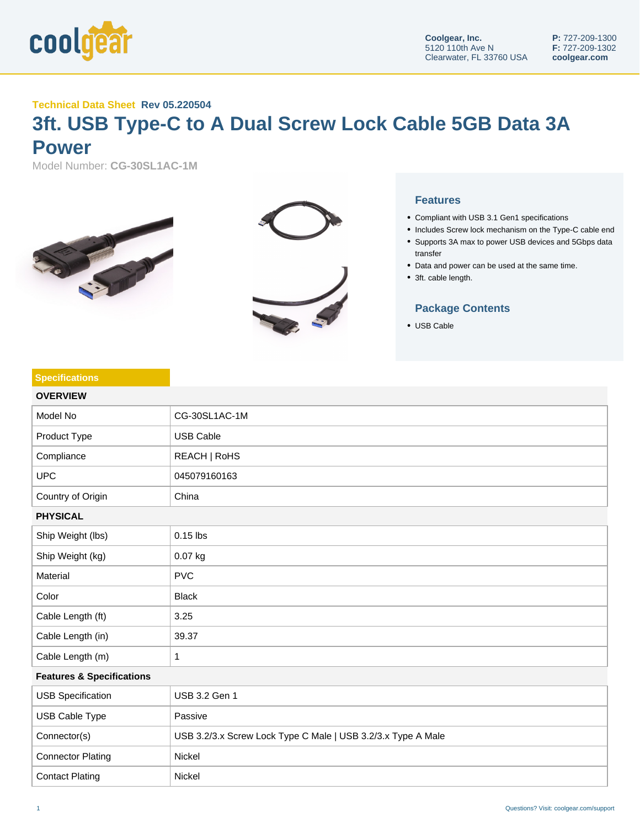

## **Technical Data Sheet Rev 05.220504**

## **3ft. USB Type-C to A Dual Screw Lock Cable 5GB Data 3A Power**

Model Number: **CG-30SL1AC-1M**





## **Features**

- Compliant with USB 3.1 Gen1 specifications
- Includes Screw lock mechanism on the Type-C cable end
- Supports 3A max to power USB devices and 5Gbps data transfer
- Data and power can be used at the same time.
- 3ft. cable length.

## **Package Contents**

USB Cable

| <b>Specifications</b>                |                                                              |  |
|--------------------------------------|--------------------------------------------------------------|--|
| <b>OVERVIEW</b>                      |                                                              |  |
| Model No                             | CG-30SL1AC-1M                                                |  |
| Product Type                         | <b>USB Cable</b>                                             |  |
| Compliance                           | REACH   RoHS                                                 |  |
| <b>UPC</b>                           | 045079160163                                                 |  |
| Country of Origin                    | China                                                        |  |
| <b>PHYSICAL</b>                      |                                                              |  |
| Ship Weight (lbs)                    | $0.15$ lbs                                                   |  |
| Ship Weight (kg)                     | 0.07 kg                                                      |  |
| Material                             | <b>PVC</b>                                                   |  |
| Color                                | <b>Black</b>                                                 |  |
| Cable Length (ft)                    | 3.25                                                         |  |
| Cable Length (in)                    | 39.37                                                        |  |
| Cable Length (m)                     | 1                                                            |  |
| <b>Features &amp; Specifications</b> |                                                              |  |
| <b>USB Specification</b>             | USB 3.2 Gen 1                                                |  |
| <b>USB Cable Type</b>                | Passive                                                      |  |
| Connector(s)                         | USB 3.2/3.x Screw Lock Type C Male   USB 3.2/3.x Type A Male |  |
| <b>Connector Plating</b>             | Nickel                                                       |  |
| <b>Contact Plating</b>               | Nickel                                                       |  |